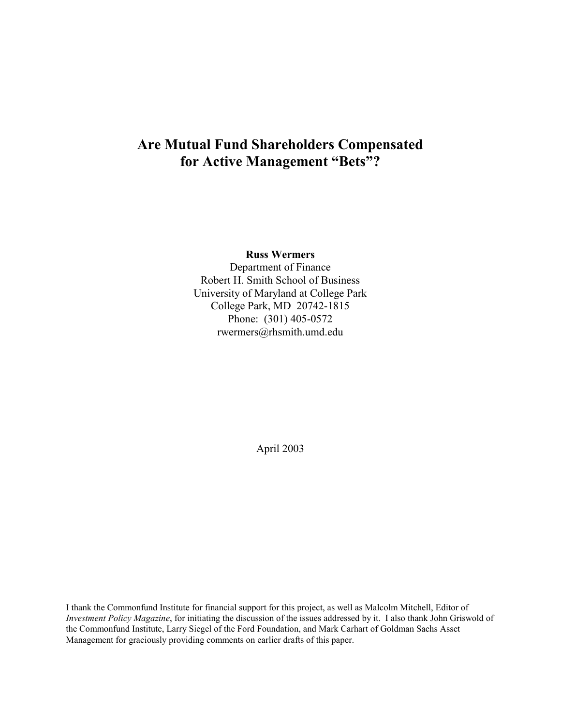# **Are Mutual Fund Shareholders Compensated for Active Management "Bets"?**

**Russ Wermers** 

Department of Finance Robert H. Smith School of Business University of Maryland at College Park College Park, MD 20742-1815 Phone: (301) 405-0572 rwermers@rhsmith.umd.edu

April 2003

I thank the Commonfund Institute for financial support for this project, as well as Malcolm Mitchell, Editor of *Investment Policy Magazine*, for initiating the discussion of the issues addressed by it. I also thank John Griswold of the Commonfund Institute, Larry Siegel of the Ford Foundation, and Mark Carhart of Goldman Sachs Asset Management for graciously providing comments on earlier drafts of this paper.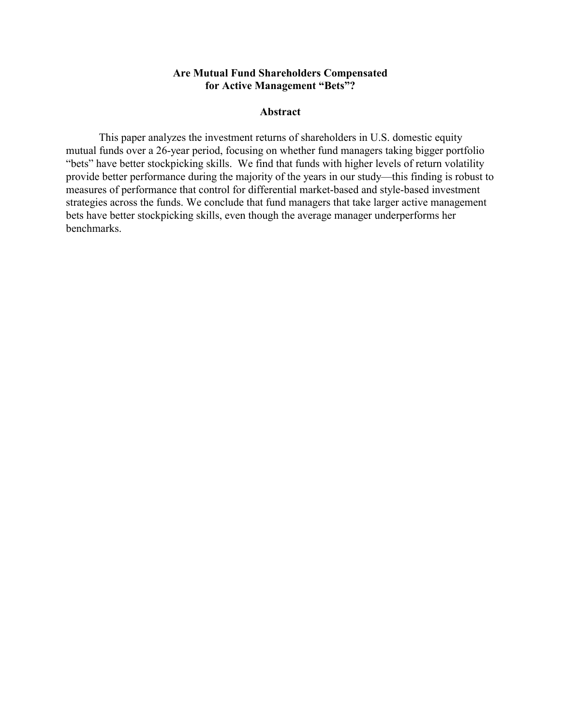# **Are Mutual Fund Shareholders Compensated for Active Management "Bets"?**

#### **Abstract**

This paper analyzes the investment returns of shareholders in U.S. domestic equity mutual funds over a 26-year period, focusing on whether fund managers taking bigger portfolio "bets" have better stockpicking skills. We find that funds with higher levels of return volatility provide better performance during the majority of the years in our study—this finding is robust to measures of performance that control for differential market-based and style-based investment strategies across the funds. We conclude that fund managers that take larger active management bets have better stockpicking skills, even though the average manager underperforms her benchmarks.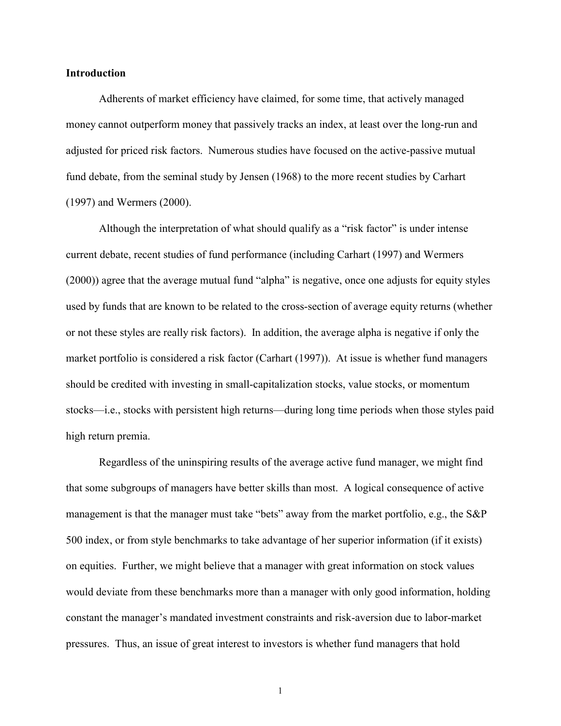#### **Introduction**

Adherents of market efficiency have claimed, for some time, that actively managed money cannot outperform money that passively tracks an index, at least over the long-run and adjusted for priced risk factors. Numerous studies have focused on the active-passive mutual fund debate, from the seminal study by Jensen (1968) to the more recent studies by Carhart (1997) and Wermers (2000).

Although the interpretation of what should qualify as a "risk factor" is under intense current debate, recent studies of fund performance (including Carhart (1997) and Wermers  $(2000)$ ) agree that the average mutual fund "alpha" is negative, once one adjusts for equity styles used by funds that are known to be related to the cross-section of average equity returns (whether or not these styles are really risk factors). In addition, the average alpha is negative if only the market portfolio is considered a risk factor (Carhart (1997)). At issue is whether fund managers should be credited with investing in small-capitalization stocks, value stocks, or momentum stocks—i.e., stocks with persistent high returns—during long time periods when those styles paid high return premia.

 Regardless of the uninspiring results of the average active fund manager, we might find that some subgroups of managers have better skills than most. A logical consequence of active management is that the manager must take "bets" away from the market portfolio, e.g., the S&P 500 index, or from style benchmarks to take advantage of her superior information (if it exists) on equities. Further, we might believe that a manager with great information on stock values would deviate from these benchmarks more than a manager with only good information, holding constant the manager's mandated investment constraints and risk-aversion due to labor-market pressures. Thus, an issue of great interest to investors is whether fund managers that hold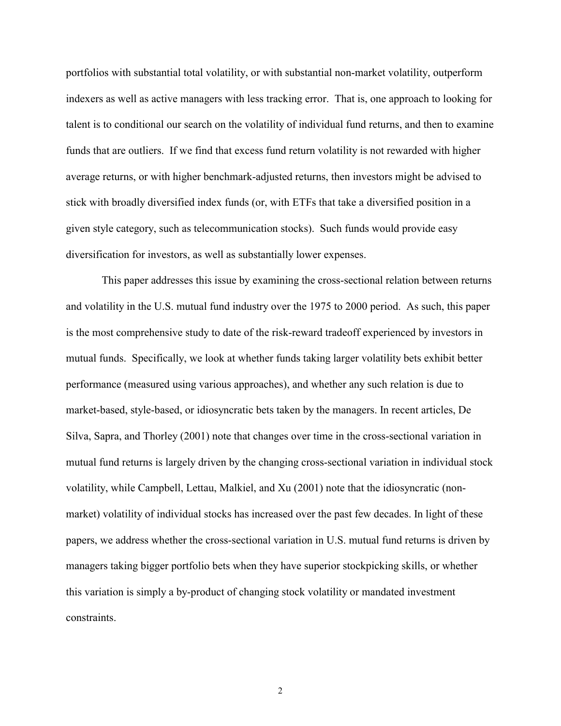portfolios with substantial total volatility, or with substantial non-market volatility, outperform indexers as well as active managers with less tracking error. That is, one approach to looking for talent is to conditional our search on the volatility of individual fund returns, and then to examine funds that are outliers. If we find that excess fund return volatility is not rewarded with higher average returns, or with higher benchmark-adjusted returns, then investors might be advised to stick with broadly diversified index funds (or, with ETFs that take a diversified position in a given style category, such as telecommunication stocks). Such funds would provide easy diversification for investors, as well as substantially lower expenses.

 This paper addresses this issue by examining the cross-sectional relation between returns and volatility in the U.S. mutual fund industry over the 1975 to 2000 period. As such, this paper is the most comprehensive study to date of the risk-reward tradeoff experienced by investors in mutual funds. Specifically, we look at whether funds taking larger volatility bets exhibit better performance (measured using various approaches), and whether any such relation is due to market-based, style-based, or idiosyncratic bets taken by the managers. In recent articles, De Silva, Sapra, and Thorley (2001) note that changes over time in the cross-sectional variation in mutual fund returns is largely driven by the changing cross-sectional variation in individual stock volatility, while Campbell, Lettau, Malkiel, and Xu (2001) note that the idiosyncratic (nonmarket) volatility of individual stocks has increased over the past few decades. In light of these papers, we address whether the cross-sectional variation in U.S. mutual fund returns is driven by managers taking bigger portfolio bets when they have superior stockpicking skills, or whether this variation is simply a by-product of changing stock volatility or mandated investment constraints.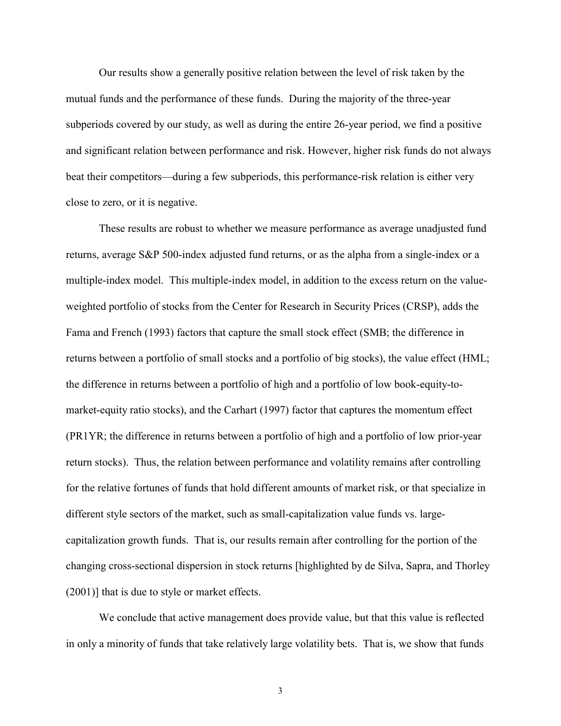Our results show a generally positive relation between the level of risk taken by the mutual funds and the performance of these funds. During the majority of the three-year subperiods covered by our study, as well as during the entire 26-year period, we find a positive and significant relation between performance and risk. However, higher risk funds do not always beat their competitors—during a few subperiods, this performance-risk relation is either very close to zero, or it is negative.

These results are robust to whether we measure performance as average unadjusted fund returns, average S&P 500-index adjusted fund returns, or as the alpha from a single-index or a multiple-index model. This multiple-index model, in addition to the excess return on the valueweighted portfolio of stocks from the Center for Research in Security Prices (CRSP), adds the Fama and French (1993) factors that capture the small stock effect (SMB; the difference in returns between a portfolio of small stocks and a portfolio of big stocks), the value effect (HML; the difference in returns between a portfolio of high and a portfolio of low book-equity-tomarket-equity ratio stocks), and the Carhart (1997) factor that captures the momentum effect (PR1YR; the difference in returns between a portfolio of high and a portfolio of low prior-year return stocks). Thus, the relation between performance and volatility remains after controlling for the relative fortunes of funds that hold different amounts of market risk, or that specialize in different style sectors of the market, such as small-capitalization value funds vs. largecapitalization growth funds. That is, our results remain after controlling for the portion of the changing cross-sectional dispersion in stock returns [highlighted by de Silva, Sapra, and Thorley (2001)] that is due to style or market effects.

We conclude that active management does provide value, but that this value is reflected in only a minority of funds that take relatively large volatility bets. That is, we show that funds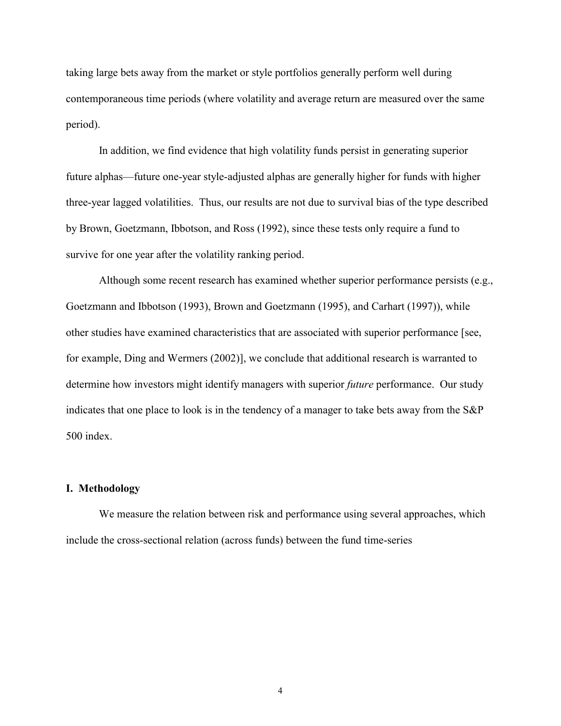taking large bets away from the market or style portfolios generally perform well during contemporaneous time periods (where volatility and average return are measured over the same period).

In addition, we find evidence that high volatility funds persist in generating superior future alphas—future one-year style-adjusted alphas are generally higher for funds with higher three-year lagged volatilities. Thus, our results are not due to survival bias of the type described by Brown, Goetzmann, Ibbotson, and Ross (1992), since these tests only require a fund to survive for one year after the volatility ranking period.

Although some recent research has examined whether superior performance persists (e.g., Goetzmann and Ibbotson (1993), Brown and Goetzmann (1995), and Carhart (1997)), while other studies have examined characteristics that are associated with superior performance [see, for example, Ding and Wermers (2002)], we conclude that additional research is warranted to determine how investors might identify managers with superior *future* performance. Our study indicates that one place to look is in the tendency of a manager to take bets away from the S&P 500 index.

#### **I. Methodology**

We measure the relation between risk and performance using several approaches, which include the cross-sectional relation (across funds) between the fund time-series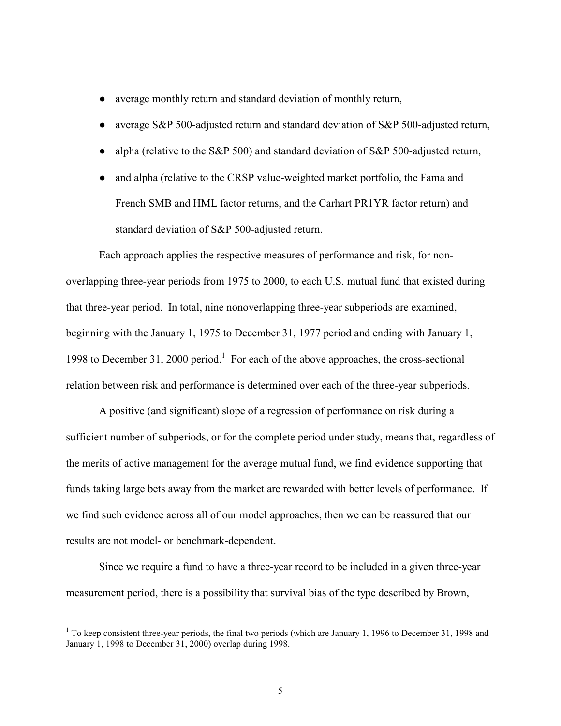- **●** average monthly return and standard deviation of monthly return,
- **●** average S&P 500-adjusted return and standard deviation of S&P 500-adjusted return,
- **●** alpha (relative to the S&P 500) and standard deviation of S&P 500-adjusted return,
- **●** and alpha (relative to the CRSP value-weighted market portfolio, the Fama and French SMB and HML factor returns, and the Carhart PR1YR factor return) and standard deviation of S&P 500-adjusted return.

Each approach applies the respective measures of performance and risk, for nonoverlapping three-year periods from 1975 to 2000, to each U.S. mutual fund that existed during that three-year period. In total, nine nonoverlapping three-year subperiods are examined, beginning with the January 1, 1975 to December 31, 1977 period and ending with January 1, 1998 to December 31, 2000 period.<sup>1</sup> For each of the above approaches, the cross-sectional relation between risk and performance is determined over each of the three-year subperiods.

A positive (and significant) slope of a regression of performance on risk during a sufficient number of subperiods, or for the complete period under study, means that, regardless of the merits of active management for the average mutual fund, we find evidence supporting that funds taking large bets away from the market are rewarded with better levels of performance. If we find such evidence across all of our model approaches, then we can be reassured that our results are not model- or benchmark-dependent.

Since we require a fund to have a three-year record to be included in a given three-year measurement period, there is a possibility that survival bias of the type described by Brown,

 $1$  To keep consistent three-year periods, the final two periods (which are January 1, 1996 to December 31, 1998 and January 1, 1998 to December 31, 2000) overlap during 1998.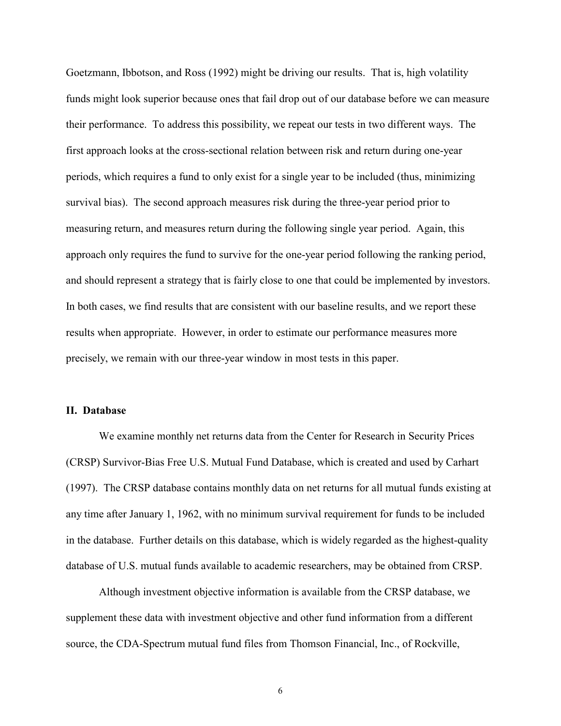Goetzmann, Ibbotson, and Ross (1992) might be driving our results. That is, high volatility funds might look superior because ones that fail drop out of our database before we can measure their performance. To address this possibility, we repeat our tests in two different ways. The first approach looks at the cross-sectional relation between risk and return during one-year periods, which requires a fund to only exist for a single year to be included (thus, minimizing survival bias). The second approach measures risk during the three-year period prior to measuring return, and measures return during the following single year period. Again, this approach only requires the fund to survive for the one-year period following the ranking period, and should represent a strategy that is fairly close to one that could be implemented by investors. In both cases, we find results that are consistent with our baseline results, and we report these results when appropriate. However, in order to estimate our performance measures more precisely, we remain with our three-year window in most tests in this paper.

# **II. Database**

We examine monthly net returns data from the Center for Research in Security Prices (CRSP) Survivor-Bias Free U.S. Mutual Fund Database, which is created and used by Carhart (1997). The CRSP database contains monthly data on net returns for all mutual funds existing at any time after January 1, 1962, with no minimum survival requirement for funds to be included in the database. Further details on this database, which is widely regarded as the highest-quality database of U.S. mutual funds available to academic researchers, may be obtained from CRSP.

Although investment objective information is available from the CRSP database, we supplement these data with investment objective and other fund information from a different source, the CDA-Spectrum mutual fund files from Thomson Financial, Inc., of Rockville,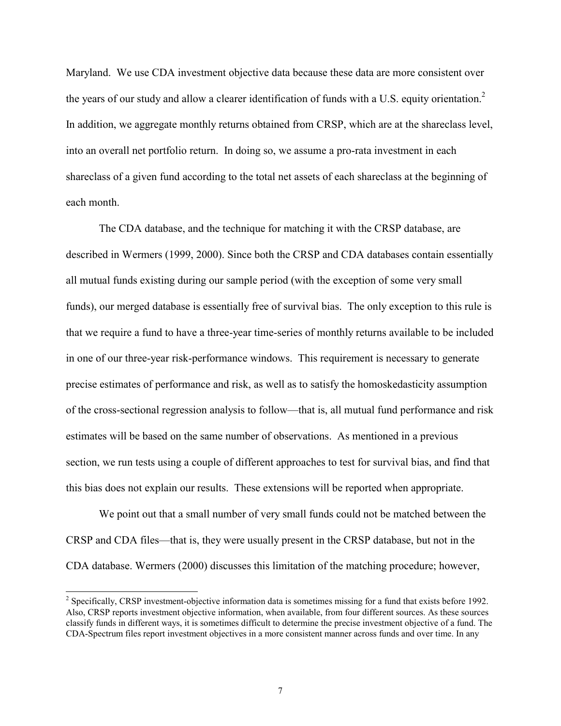Maryland. We use CDA investment objective data because these data are more consistent over the years of our study and allow a clearer identification of funds with a U.S. equity orientation.<sup>2</sup> In addition, we aggregate monthly returns obtained from CRSP, which are at the shareclass level, into an overall net portfolio return. In doing so, we assume a pro-rata investment in each shareclass of a given fund according to the total net assets of each shareclass at the beginning of each month.

The CDA database, and the technique for matching it with the CRSP database, are described in Wermers (1999, 2000). Since both the CRSP and CDA databases contain essentially all mutual funds existing during our sample period (with the exception of some very small funds), our merged database is essentially free of survival bias. The only exception to this rule is that we require a fund to have a three-year time-series of monthly returns available to be included in one of our three-year risk-performance windows. This requirement is necessary to generate precise estimates of performance and risk, as well as to satisfy the homoskedasticity assumption of the cross-sectional regression analysis to follow—that is, all mutual fund performance and risk estimates will be based on the same number of observations. As mentioned in a previous section, we run tests using a couple of different approaches to test for survival bias, and find that this bias does not explain our results. These extensions will be reported when appropriate.

We point out that a small number of very small funds could not be matched between the CRSP and CDA files—that is, they were usually present in the CRSP database, but not in the CDA database. Wermers (2000) discusses this limitation of the matching procedure; however,

<sup>&</sup>lt;sup>2</sup> Specifically, CRSP investment-objective information data is sometimes missing for a fund that exists before 1992. Also, CRSP reports investment objective information, when available, from four different sources. As these sources classify funds in different ways, it is sometimes difficult to determine the precise investment objective of a fund. The CDA-Spectrum files report investment objectives in a more consistent manner across funds and over time. In any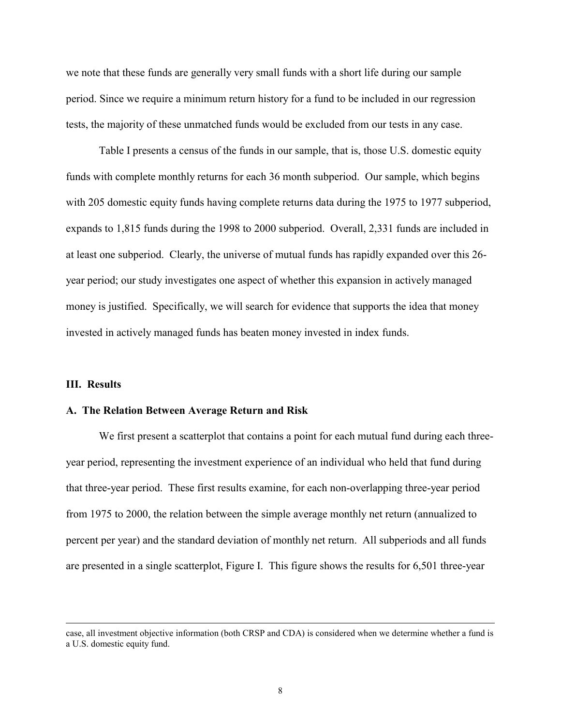we note that these funds are generally very small funds with a short life during our sample period. Since we require a minimum return history for a fund to be included in our regression tests, the majority of these unmatched funds would be excluded from our tests in any case.

 Table I presents a census of the funds in our sample, that is, those U.S. domestic equity funds with complete monthly returns for each 36 month subperiod. Our sample, which begins with 205 domestic equity funds having complete returns data during the 1975 to 1977 subperiod, expands to 1,815 funds during the 1998 to 2000 subperiod. Overall, 2,331 funds are included in at least one subperiod. Clearly, the universe of mutual funds has rapidly expanded over this 26 year period; our study investigates one aspect of whether this expansion in actively managed money is justified. Specifically, we will search for evidence that supports the idea that money invested in actively managed funds has beaten money invested in index funds.

#### **III. Results**

 $\overline{a}$ 

#### **A. The Relation Between Average Return and Risk**

We first present a scatterplot that contains a point for each mutual fund during each threeyear period, representing the investment experience of an individual who held that fund during that three-year period. These first results examine, for each non-overlapping three-year period from 1975 to 2000, the relation between the simple average monthly net return (annualized to percent per year) and the standard deviation of monthly net return. All subperiods and all funds are presented in a single scatterplot, Figure I. This figure shows the results for 6,501 three-year

case, all investment objective information (both CRSP and CDA) is considered when we determine whether a fund is a U.S. domestic equity fund.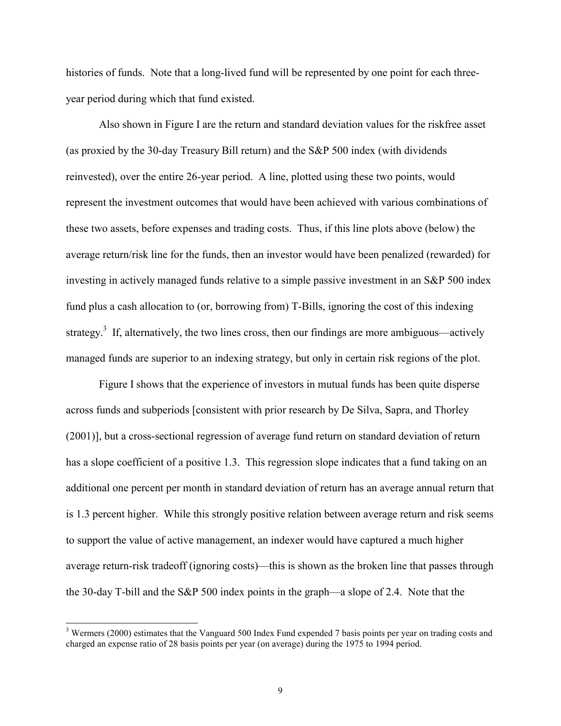histories of funds. Note that a long-lived fund will be represented by one point for each threeyear period during which that fund existed.

Also shown in Figure I are the return and standard deviation values for the riskfree asset (as proxied by the 30-day Treasury Bill return) and the S&P 500 index (with dividends reinvested), over the entire 26-year period. A line, plotted using these two points, would represent the investment outcomes that would have been achieved with various combinations of these two assets, before expenses and trading costs. Thus, if this line plots above (below) the average return/risk line for the funds, then an investor would have been penalized (rewarded) for investing in actively managed funds relative to a simple passive investment in an S&P 500 index fund plus a cash allocation to (or, borrowing from) T-Bills, ignoring the cost of this indexing strategy.<sup>3</sup> If, alternatively, the two lines cross, then our findings are more ambiguous—actively managed funds are superior to an indexing strategy, but only in certain risk regions of the plot.

Figure I shows that the experience of investors in mutual funds has been quite disperse across funds and subperiods [consistent with prior research by De Silva, Sapra, and Thorley (2001)], but a cross-sectional regression of average fund return on standard deviation of return has a slope coefficient of a positive 1.3. This regression slope indicates that a fund taking on an additional one percent per month in standard deviation of return has an average annual return that is 1.3 percent higher. While this strongly positive relation between average return and risk seems to support the value of active management, an indexer would have captured a much higher average return-risk tradeoff (ignoring costs)—this is shown as the broken line that passes through the 30-day T-bill and the S&P 500 index points in the graph—a slope of 2.4. Note that the

 $3$  Wermers (2000) estimates that the Vanguard 500 Index Fund expended 7 basis points per year on trading costs and charged an expense ratio of 28 basis points per year (on average) during the 1975 to 1994 period.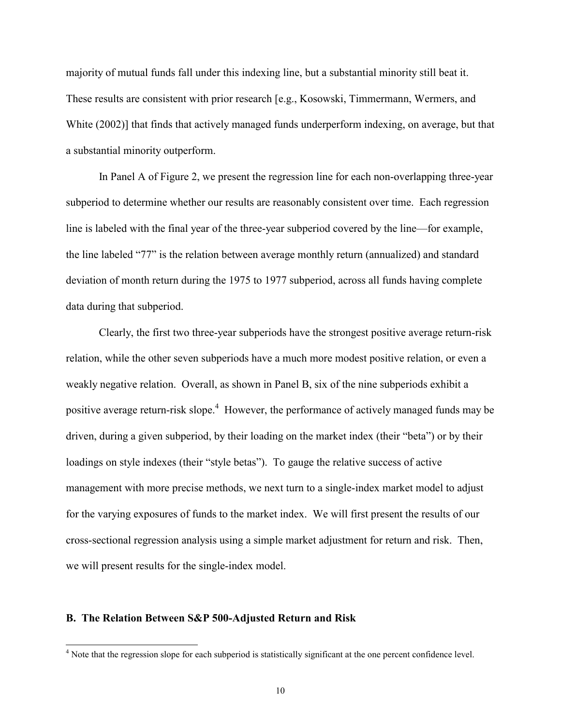majority of mutual funds fall under this indexing line, but a substantial minority still beat it. These results are consistent with prior research [e.g., Kosowski, Timmermann, Wermers, and White (2002)] that finds that actively managed funds underperform indexing, on average, but that a substantial minority outperform.

In Panel A of Figure 2, we present the regression line for each non-overlapping three-year subperiod to determine whether our results are reasonably consistent over time. Each regression line is labeled with the final year of the three-year subperiod covered by the line—for example, the line labeled "77" is the relation between average monthly return (annualized) and standard deviation of month return during the 1975 to 1977 subperiod, across all funds having complete data during that subperiod.

Clearly, the first two three-year subperiods have the strongest positive average return-risk relation, while the other seven subperiods have a much more modest positive relation, or even a weakly negative relation. Overall, as shown in Panel B, six of the nine subperiods exhibit a positive average return-risk slope.<sup>4</sup> However, the performance of actively managed funds may be driven, during a given subperiod, by their loading on the market index (their "beta") or by their loadings on style indexes (their "style betas"). To gauge the relative success of active management with more precise methods, we next turn to a single-index market model to adjust for the varying exposures of funds to the market index. We will first present the results of our cross-sectional regression analysis using a simple market adjustment for return and risk. Then, we will present results for the single-index model.

#### **B. The Relation Between S&P 500-Adjusted Return and Risk**

<sup>&</sup>lt;sup>4</sup> Note that the regression slope for each subperiod is statistically significant at the one percent confidence level.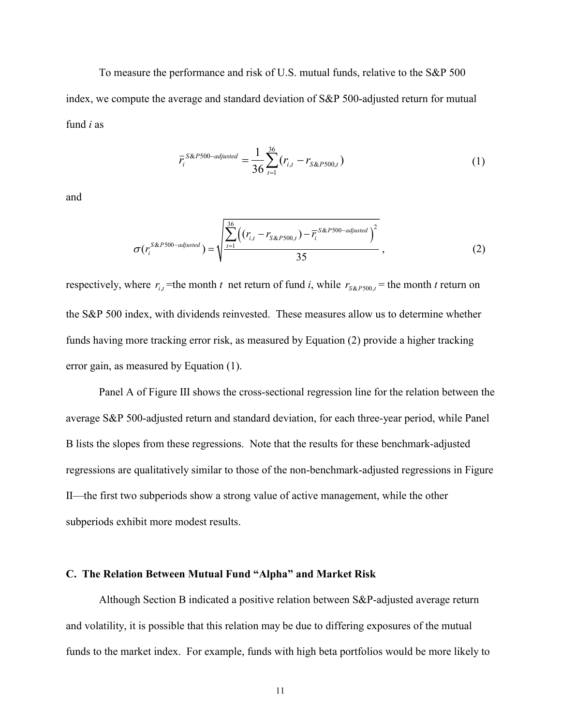To measure the performance and risk of U.S. mutual funds, relative to the S&P 500 index, we compute the average and standard deviation of S&P 500-adjusted return for mutual fund *i* as

$$
\overline{r}_{i}^{S\&P500-adjusted} = \frac{1}{36} \sum_{t=1}^{36} (r_{i,t} - r_{S\&P500,t})
$$
\n(1)

and

$$
\sigma(r_i^{S\&P500-\textit{adjusted}}) = \sqrt{\frac{\sum_{t=1}^{36} \left( (r_{i,t} - r_{S\&P500,t}) - \overline{r_i}^{S\&P500-\textit{adjusted}} \right)^2}{35}},
$$
\n(2)

respectively, where  $r_{i,t}$  = the month *t* net return of fund *i*, while  $r_{S\&P500,t}$  = the month *t* return on the S&P 500 index, with dividends reinvested. These measures allow us to determine whether funds having more tracking error risk, as measured by Equation (2) provide a higher tracking error gain, as measured by Equation (1).

Panel A of Figure III shows the cross-sectional regression line for the relation between the average S&P 500-adjusted return and standard deviation, for each three-year period, while Panel B lists the slopes from these regressions. Note that the results for these benchmark-adjusted regressions are qualitatively similar to those of the non-benchmark-adjusted regressions in Figure II—the first two subperiods show a strong value of active management, while the other subperiods exhibit more modest results.

#### **C. The Relation Between Mutual Fund "Alpha" and Market Risk**

 Although Section B indicated a positive relation between S&P-adjusted average return and volatility, it is possible that this relation may be due to differing exposures of the mutual funds to the market index. For example, funds with high beta portfolios would be more likely to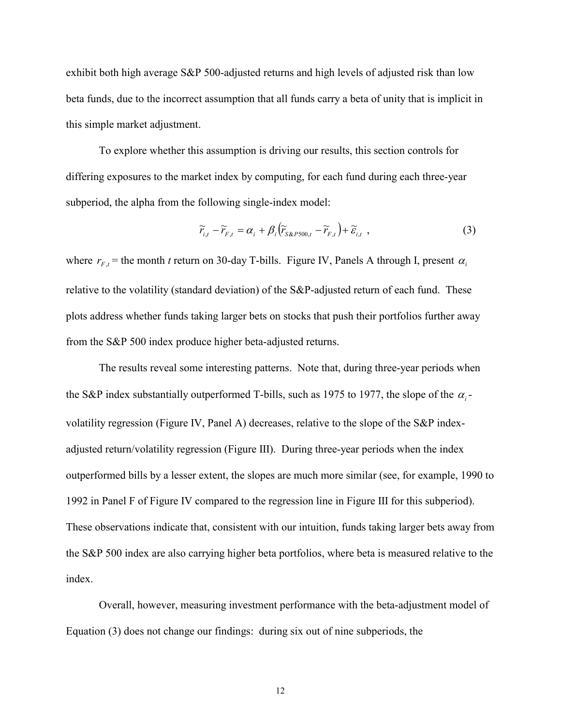exhibit both high average S&P 500-adjusted returns and high levels of adjusted risk than low beta funds, due to the incorrect assumption that all funds carry a beta of unity that is implicit in this simple market adjustment.

 To explore whether this assumption is driving our results, this section controls for differing exposures to the market index by computing, for each fund during each three-year subperiod, the alpha from the following single-index model:

$$
\widetilde{r}_{i,t} - \widetilde{r}_{F,t} = \alpha_i + \beta_i \left( \widetilde{r}_{S\&P500,t} - \widetilde{r}_{F,t} \right) + \widetilde{\varepsilon}_{i,t} \tag{3}
$$

where  $r_{F,t}$  = the month *t* return on 30-day T-bills. Figure IV, Panels A through I, present  $\alpha_i$ relative to the volatility (standard deviation) of the S&P-adjusted return of each fund. These plots address whether funds taking larger bets on stocks that push their portfolios further away from the S&P 500 index produce higher beta-adjusted returns.

The results reveal some interesting patterns. Note that, during three-year periods when the S&P index substantially outperformed T-bills, such as 1975 to 1977, the slope of the  $\alpha_i$ volatility regression (Figure IV, Panel A) decreases, relative to the slope of the S&P indexadjusted return/volatility regression (Figure III). During three-year periods when the index outperformed bills by a lesser extent, the slopes are much more similar (see, for example, 1990 to 1992 in Panel F of Figure IV compared to the regression line in Figure III for this subperiod). These observations indicate that, consistent with our intuition, funds taking larger bets away from the S&P 500 index are also carrying higher beta portfolios, where beta is measured relative to the index.

 Overall, however, measuring investment performance with the beta-adjustment model of Equation (3) does not change our findings: during six out of nine subperiods, the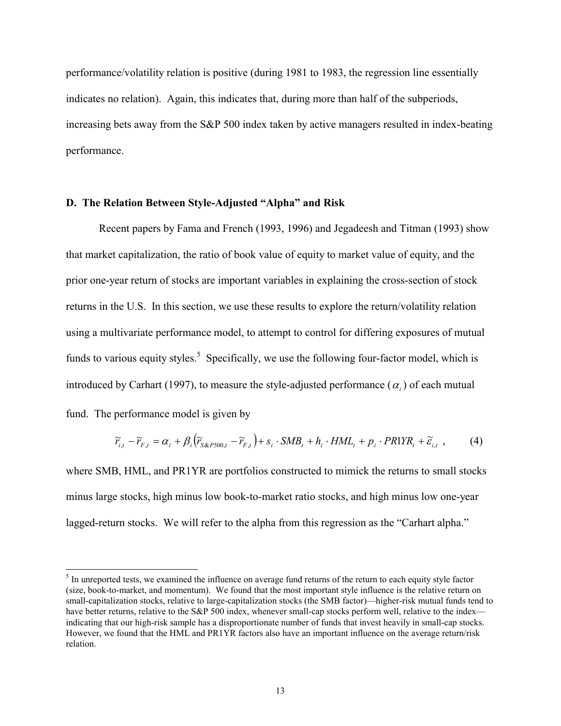performance/volatility relation is positive (during 1981 to 1983, the regression line essentially indicates no relation). Again, this indicates that, during more than half of the subperiods, increasing bets away from the S&P 500 index taken by active managers resulted in index-beating performance.

#### **D.** The Relation Between Style-Adjusted "Alpha" and Risk

l

Recent papers by Fama and French (1993, 1996) and Jegadeesh and Titman (1993) show that market capitalization, the ratio of book value of equity to market value of equity, and the prior one-year return of stocks are important variables in explaining the cross-section of stock returns in the U.S. In this section, we use these results to explore the return/volatility relation using a multivariate performance model, to attempt to control for differing exposures of mutual funds to various equity styles.<sup>5</sup> Specifically, we use the following four-factor model, which is introduced by Carhart (1997), to measure the style-adjusted performance  $(\alpha_i)$  of each mutual fund. The performance model is given by

$$
\widetilde{r}_{i,t} - \widetilde{r}_{F,t} = \alpha_i + \beta_i \left( \widetilde{r}_{s\&P500,t} - \widetilde{r}_{F,t} \right) + s_i \cdot SMB_t + h_i \cdot HML_t + p_i \cdot PR1YR_t + \widetilde{\varepsilon}_{i,t} \tag{4}
$$

where SMB, HML, and PR1YR are portfolios constructed to mimick the returns to small stocks minus large stocks, high minus low book-to-market ratio stocks, and high minus low one-year lagged-return stocks. We will refer to the alpha from this regression as the "Carhart alpha."

 $<sup>5</sup>$  In unreported tests, we examined the influence on average fund returns of the return to each equity style factor</sup> (size, book-to-market, and momentum). We found that the most important style influence is the relative return on small-capitalization stocks, relative to large-capitalization stocks (the SMB factor)—higher-risk mutual funds tend to have better returns, relative to the S&P 500 index, whenever small-cap stocks perform well, relative to the index indicating that our high-risk sample has a disproportionate number of funds that invest heavily in small-cap stocks. However, we found that the HML and PR1YR factors also have an important influence on the average return/risk relation.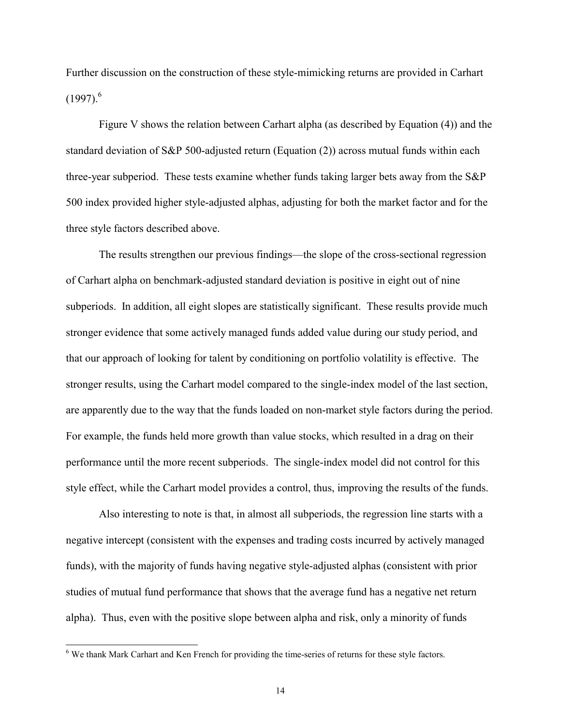Further discussion on the construction of these style-mimicking returns are provided in Carhart  $(1997).$ <sup>6</sup>

 Figure V shows the relation between Carhart alpha (as described by Equation (4)) and the standard deviation of S&P 500-adjusted return (Equation (2)) across mutual funds within each three-year subperiod. These tests examine whether funds taking larger bets away from the S&P 500 index provided higher style-adjusted alphas, adjusting for both the market factor and for the three style factors described above.

The results strengthen our previous findings—the slope of the cross-sectional regression of Carhart alpha on benchmark-adjusted standard deviation is positive in eight out of nine subperiods. In addition, all eight slopes are statistically significant. These results provide much stronger evidence that some actively managed funds added value during our study period, and that our approach of looking for talent by conditioning on portfolio volatility is effective. The stronger results, using the Carhart model compared to the single-index model of the last section, are apparently due to the way that the funds loaded on non-market style factors during the period. For example, the funds held more growth than value stocks, which resulted in a drag on their performance until the more recent subperiods. The single-index model did not control for this style effect, while the Carhart model provides a control, thus, improving the results of the funds.

 Also interesting to note is that, in almost all subperiods, the regression line starts with a negative intercept (consistent with the expenses and trading costs incurred by actively managed funds), with the majority of funds having negative style-adjusted alphas (consistent with prior studies of mutual fund performance that shows that the average fund has a negative net return alpha). Thus, even with the positive slope between alpha and risk, only a minority of funds

<sup>&</sup>lt;sup>6</sup> We thank Mark Carhart and Ken French for providing the time-series of returns for these style factors.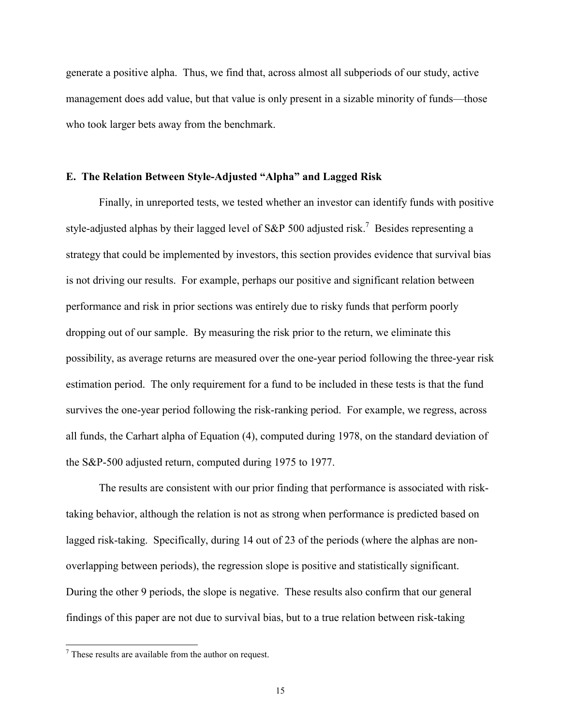generate a positive alpha. Thus, we find that, across almost all subperiods of our study, active management does add value, but that value is only present in a sizable minority of funds—those who took larger bets away from the benchmark.

#### **E. The Relation Between Style-Adjusted "Alpha" and Lagged Risk**

Finally, in unreported tests, we tested whether an investor can identify funds with positive style-adjusted alphas by their lagged level of S&P 500 adjusted risk.<sup>7</sup> Besides representing a strategy that could be implemented by investors, this section provides evidence that survival bias is not driving our results. For example, perhaps our positive and significant relation between performance and risk in prior sections was entirely due to risky funds that perform poorly dropping out of our sample. By measuring the risk prior to the return, we eliminate this possibility, as average returns are measured over the one-year period following the three-year risk estimation period. The only requirement for a fund to be included in these tests is that the fund survives the one-year period following the risk-ranking period. For example, we regress, across all funds, the Carhart alpha of Equation (4), computed during 1978, on the standard deviation of the S&P-500 adjusted return, computed during 1975 to 1977.

The results are consistent with our prior finding that performance is associated with risktaking behavior, although the relation is not as strong when performance is predicted based on lagged risk-taking. Specifically, during 14 out of 23 of the periods (where the alphas are nonoverlapping between periods), the regression slope is positive and statistically significant. During the other 9 periods, the slope is negative. These results also confirm that our general findings of this paper are not due to survival bias, but to a true relation between risk-taking

 $7$  These results are available from the author on request.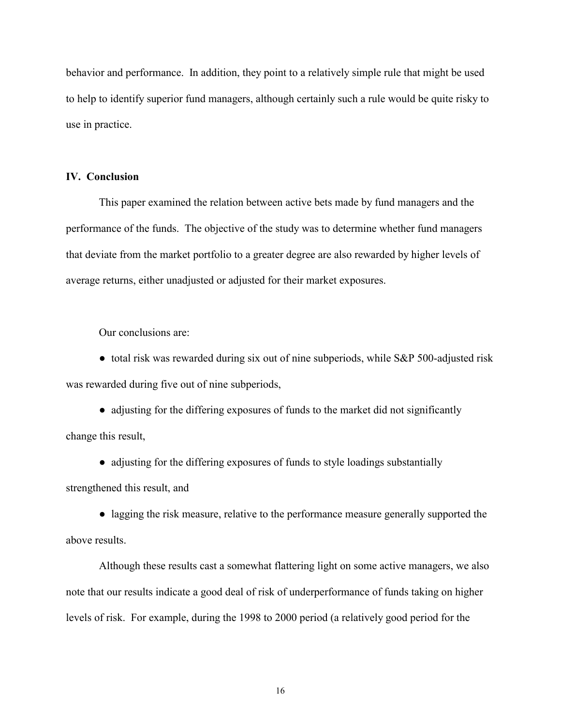behavior and performance. In addition, they point to a relatively simple rule that might be used to help to identify superior fund managers, although certainly such a rule would be quite risky to use in practice.

# **IV. Conclusion**

This paper examined the relation between active bets made by fund managers and the performance of the funds. The objective of the study was to determine whether fund managers that deviate from the market portfolio to a greater degree are also rewarded by higher levels of average returns, either unadjusted or adjusted for their market exposures.

Our conclusions are:

● total risk was rewarded during six out of nine subperiods, while S&P 500-adjusted risk was rewarded during five out of nine subperiods,

• adjusting for the differing exposures of funds to the market did not significantly change this result,

• adjusting for the differing exposures of funds to style loadings substantially

strengthened this result, and

• lagging the risk measure, relative to the performance measure generally supported the above results.

 Although these results cast a somewhat flattering light on some active managers, we also note that our results indicate a good deal of risk of underperformance of funds taking on higher levels of risk. For example, during the 1998 to 2000 period (a relatively good period for the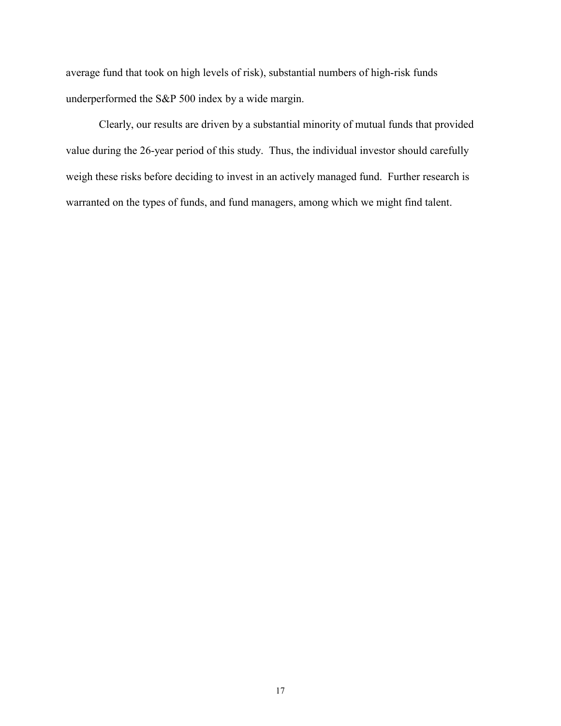average fund that took on high levels of risk), substantial numbers of high-risk funds underperformed the S&P 500 index by a wide margin.

Clearly, our results are driven by a substantial minority of mutual funds that provided value during the 26-year period of this study. Thus, the individual investor should carefully weigh these risks before deciding to invest in an actively managed fund. Further research is warranted on the types of funds, and fund managers, among which we might find talent.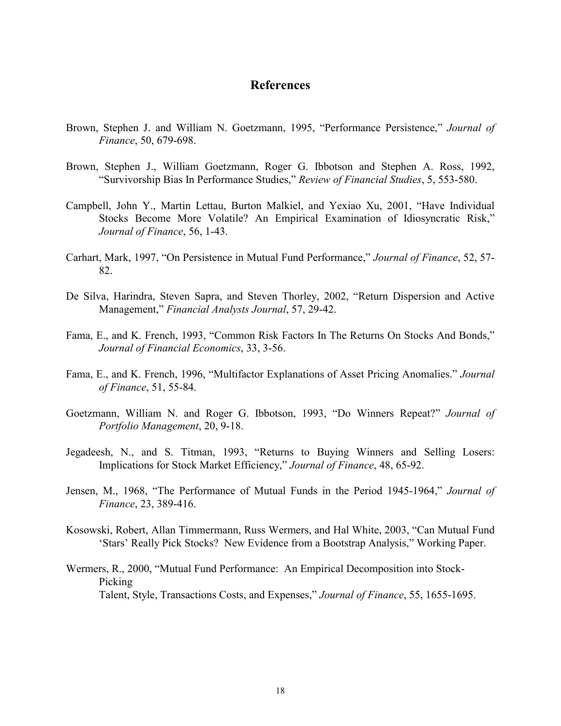# **References**

- Brown, Stephen J. and William N. Goetzmann, 1995, "Performance Persistence," *Journal of Finance*, 50, 679-698.
- Brown, Stephen J., William Goetzmann, Roger G. Ibbotson and Stephen A. Ross, 1992, ìSurvivorship Bias In Performance Studies,î *Review of Financial Studies*, 5, 553-580.
- Campbell, John Y., Martin Lettau, Burton Malkiel, and Yexiao Xu, 2001, "Have Individual Stocks Become More Volatile? An Empirical Examination of Idiosyncratic Risk," *Journal of Finance*, 56, 1-43.
- Carhart, Mark, 1997, "On Persistence in Mutual Fund Performance," Journal of Finance, 52, 57-82.
- De Silva, Harindra, Steven Sapra, and Steven Thorley, 2002, "Return Dispersion and Active Management,î *Financial Analysts Journal*, 57, 29-42.
- Fama, E., and K. French, 1993, "Common Risk Factors In The Returns On Stocks And Bonds," *Journal of Financial Economics*, 33, 3-56.
- Fama, E., and K. French, 1996, "Multifactor Explanations of Asset Pricing Anomalies." *Journal of Finance*, 51, 55-84.
- Goetzmann, William N. and Roger G. Ibbotson, 1993, "Do Winners Repeat?" *Journal of Portfolio Management*, 20, 9-18.
- Jegadeesh, N., and S. Titman, 1993, "Returns to Buying Winners and Selling Losers: Implications for Stock Market Efficiency," *Journal of Finance*, 48, 65-92.
- Jensen, M., 1968, "The Performance of Mutual Funds in the Period 1945-1964," *Journal of Finance*, 23, 389-416.
- Kosowski, Robert, Allan Timmermann, Russ Wermers, and Hal White, 2003, "Can Mutual Fund 'Stars' Really Pick Stocks? New Evidence from a Bootstrap Analysis," Working Paper.
- Wermers, R., 2000, "Mutual Fund Performance: An Empirical Decomposition into Stock-Picking Talent, Style, Transactions Costs, and Expenses," *Journal of Finance*, 55, 1655-1695.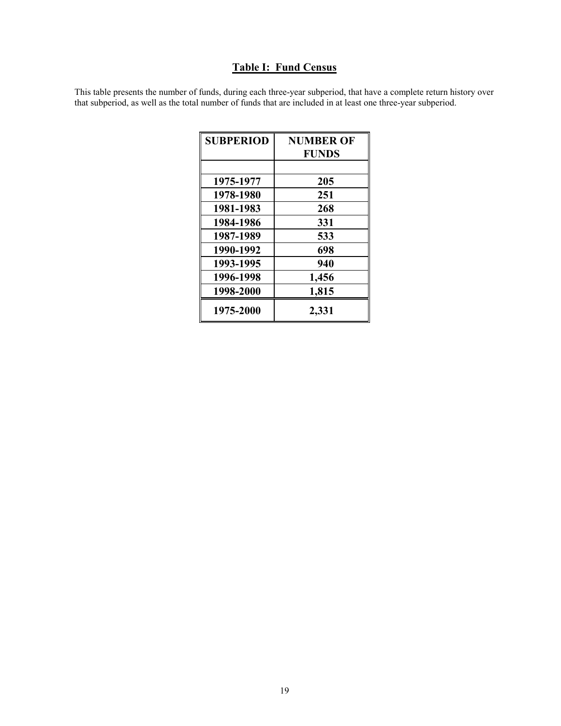# **Table I: Fund Census**

This table presents the number of funds, during each three-year subperiod, that have a complete return history over that subperiod, as well as the total number of funds that are included in at least one three-year subperiod.

| <b>SUBPERIOD</b> | <b>NUMBER OF</b> |
|------------------|------------------|
|                  | <b>FUNDS</b>     |
|                  |                  |
| 1975-1977        | 205              |
| 1978-1980        | 251              |
| 1981-1983        | 268              |
| 1984-1986        | 331              |
| 1987-1989        | 533              |
| 1990-1992        | 698              |
| 1993-1995        | 940              |
| 1996-1998        | 1,456            |
| 1998-2000        | 1,815            |
| 1975-2000        | 2,331            |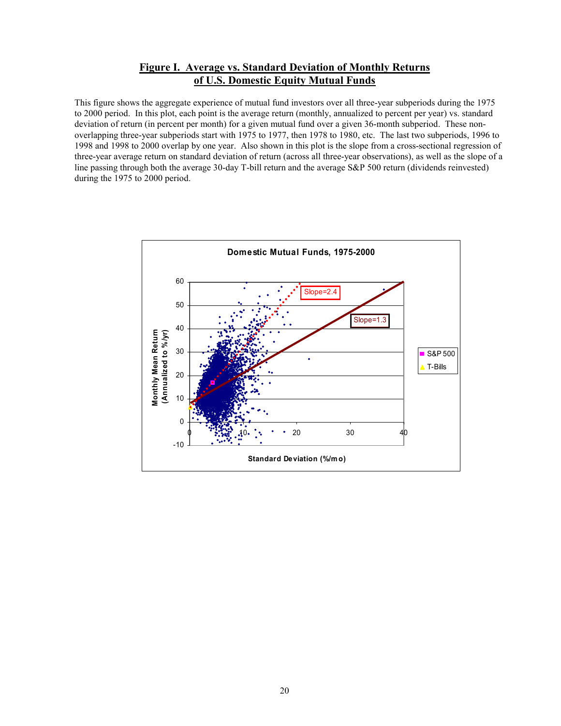# **Figure I. Average vs. Standard Deviation of Monthly Returns of U.S. Domestic Equity Mutual Funds**

This figure shows the aggregate experience of mutual fund investors over all three-year subperiods during the 1975 to 2000 period. In this plot, each point is the average return (monthly, annualized to percent per year) vs. standard deviation of return (in percent per month) for a given mutual fund over a given 36-month subperiod. These nonoverlapping three-year subperiods start with 1975 to 1977, then 1978 to 1980, etc. The last two subperiods, 1996 to 1998 and 1998 to 2000 overlap by one year. Also shown in this plot is the slope from a cross-sectional regression of three-year average return on standard deviation of return (across all three-year observations), as well as the slope of a line passing through both the average 30-day T-bill return and the average S&P 500 return (dividends reinvested) during the 1975 to 2000 period.

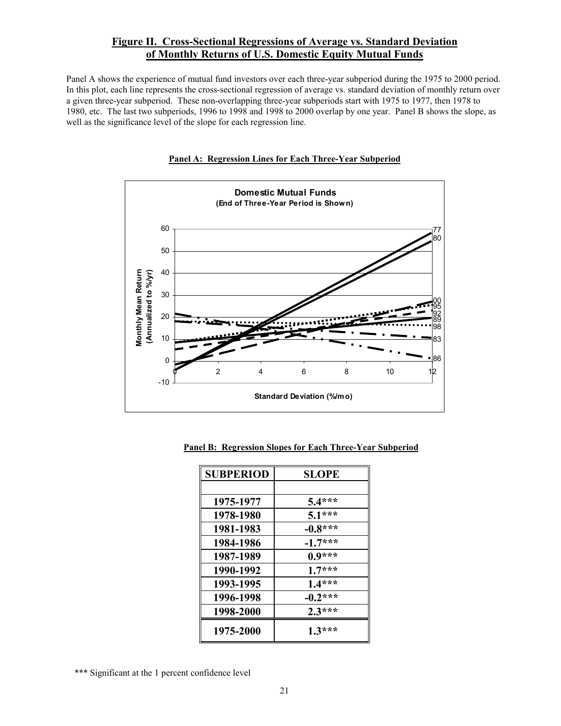# **Figure II. Cross-Sectional Regressions of Average vs. Standard Deviation of Monthly Returns of U.S. Domestic Equity Mutual Funds**

Panel A shows the experience of mutual fund investors over each three-year subperiod during the 1975 to 2000 period. In this plot, each line represents the cross-sectional regression of average vs. standard deviation of monthly return over a given three-year subperiod. These non-overlapping three-year subperiods start with 1975 to 1977, then 1978 to 1980, etc. The last two subperiods, 1996 to 1998 and 1998 to 2000 overlap by one year. Panel B shows the slope, as well as the significance level of the slope for each regression line.





| <b>SUBPERIOD</b> | <b>SLOPE</b> |
|------------------|--------------|
|                  |              |
| 1975-1977        | $5.4***$     |
| 1978-1980        | $5.1***$     |
| 1981-1983        | $-0.8***$    |
| 1984-1986        | $-1.7***$    |
| 1987-1989        | $0.9***$     |
| 1990-1992        | $1.7***$     |
| 1993-1995        | $1.4***$     |
| 1996-1998        | $-0.2***$    |
| 1998-2000        | $2.3***$     |
| 1975-2000        | $1.3***$     |

**Panel B: Regression Slopes for Each Three-Year Subperiod**

<sup>\*\*\*</sup> Significant at the 1 percent confidence level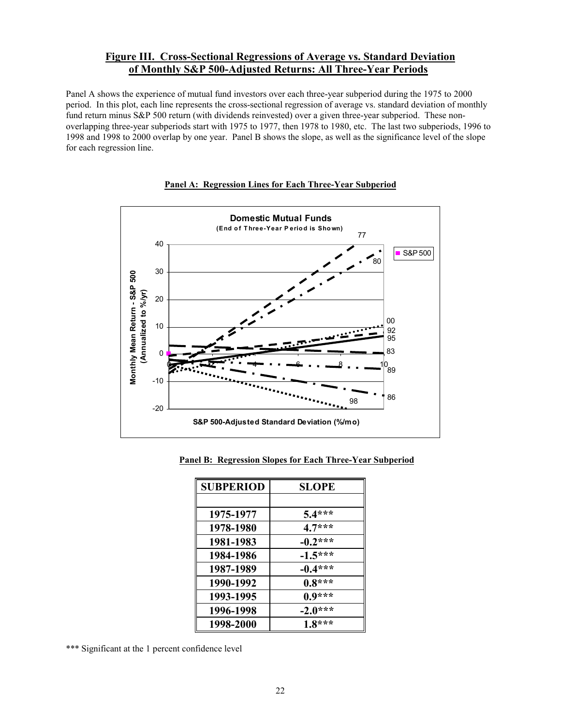# **Figure III. Cross-Sectional Regressions of Average vs. Standard Deviation of Monthly S&P 500-Adjusted Returns: All Three-Year Periods**

Panel A shows the experience of mutual fund investors over each three-year subperiod during the 1975 to 2000 period. In this plot, each line represents the cross-sectional regression of average vs. standard deviation of monthly fund return minus S&P 500 return (with dividends reinvested) over a given three-year subperiod. These nonoverlapping three-year subperiods start with 1975 to 1977, then 1978 to 1980, etc. The last two subperiods, 1996 to 1998 and 1998 to 2000 overlap by one year. Panel B shows the slope, as well as the significance level of the slope for each regression line.



#### **Panel A: Regression Lines for Each Three-Year Subperiod**

**Panel B: Regression Slopes for Each Three-Year Subperiod**

| <b>SUBPERIOD</b> | <b>SLOPE</b> |
|------------------|--------------|
|                  |              |
| 1975-1977        | $5.4***$     |
| 1978-1980        | $4.7***$     |
| 1981-1983        | $-0.2***$    |
| 1984-1986        | $-1.5***$    |
| 1987-1989        | $-0.4***$    |
| 1990-1992        | $0.8***$     |
| 1993-1995        | $0.9***$     |
| 1996-1998        | $-2.0***$    |
| 1998-2000        | $1.8***$     |

\*\*\* Significant at the 1 percent confidence level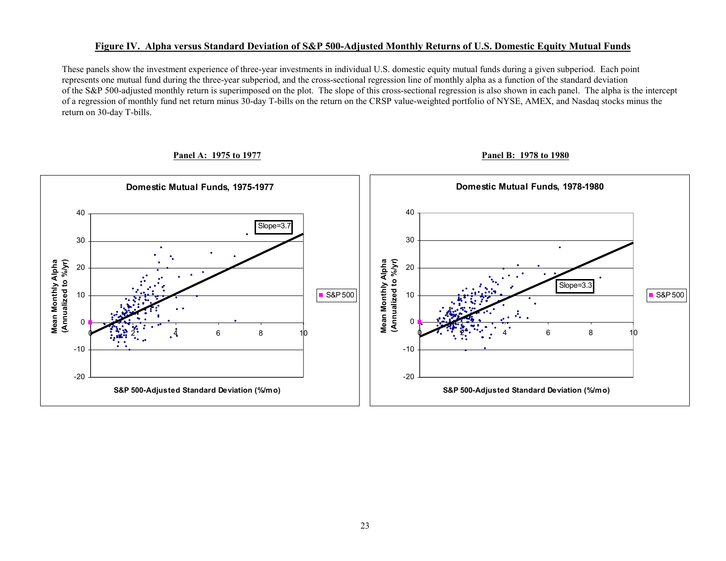#### **Figure IV. Alpha versus Standard Deviation of S&P 500-Adjusted Monthly Returns of U.S. Domestic Equity Mutual Funds**

 These panels show the investment experience of three-year investments in individual U.S. domestic equity mutual funds during a given subperiod. Each point represents one mutual fund during the three-year subperiod, and the cross-sectional regression line of monthly alpha as a function of the standard deviation of the S&P 500-adjusted monthly return is superimposed on the plot. The slope of this cross-sectional regression is also shown in each panel. The alpha is the intercept of a regression of monthly fund net return minus 30-day T-bills on the return on the CRSP value-weighted portfolio of NYSE, AMEX, and Nasdaq stocks minus the return on 30-day T-bills.

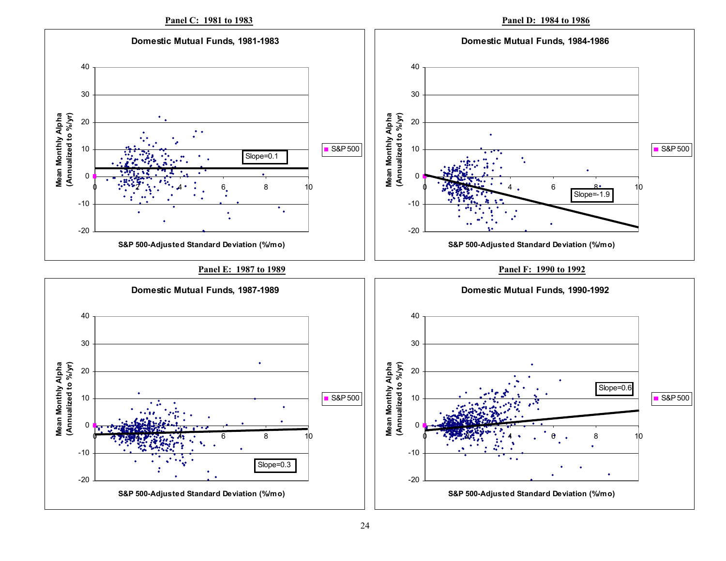**Panel D: 1984 to 1986** 

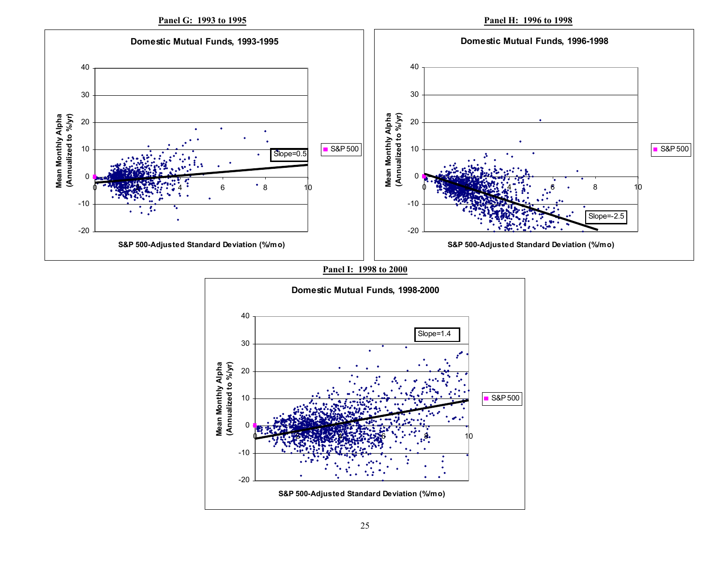**Panel G: 1993 to 1995**

**Panel H: 1996 to 1998**



**Panel I: 1998 to 2000**

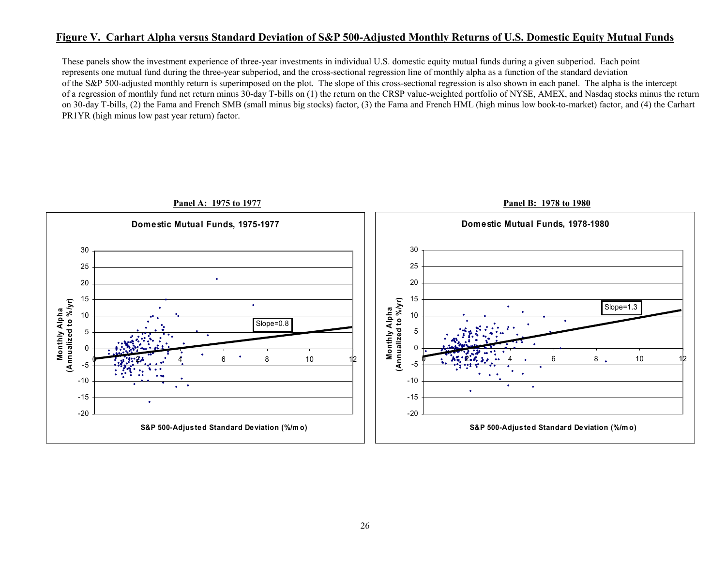# **Figure V. Carhart Alpha versus Standard Deviation of S&P 500-Adjusted Monthly Returns of U.S. Domestic Equity Mutual Funds**

 These panels show the investment experience of three-year investments in individual U.S. domestic equity mutual funds during a given subperiod. Each point represents one mutual fund during the three-year subperiod, and the cross-sectional regression line of monthly alpha as a function of the standard deviation of the S&P 500-adjusted monthly return is superimposed on the plot. The slope of this cross-sectional regression is also shown in each panel. The alpha is the intercept of a regression of monthly fund net return minus 30-day T-bills on (1) the return on the CRSP value-weighted portfolio of NYSE, AMEX, and Nasdaq stocks minus the return on 30-day T-bills, (2) the Fama and French SMB (small minus big stocks) factor, (3) the Fama and French HML (high minus low book-to-market) factor, and (4) the Carhart PR1YR (high minus low past year return) factor.

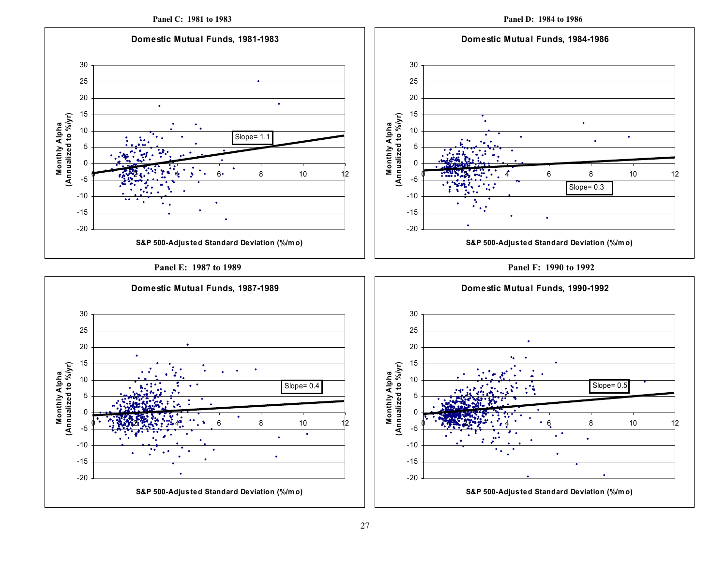